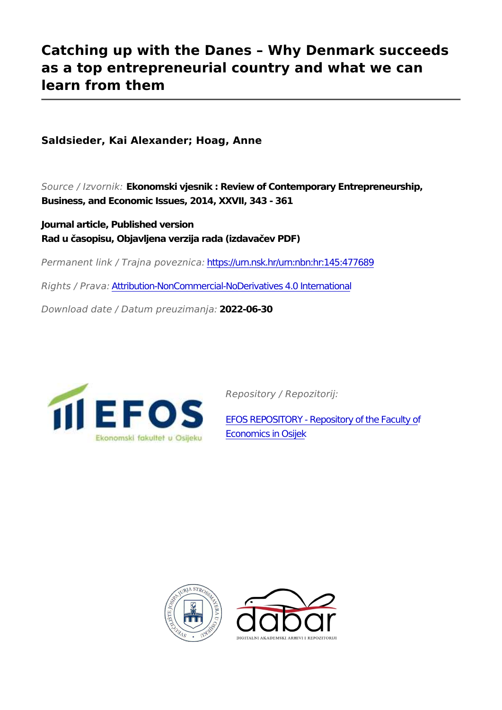## **Catching up with the Danes – Why Denmark succeeds as a top entrepreneurial country and what we can learn from them**

**Saldsieder, Kai Alexander; Hoag, Anne**

*Source / Izvornik:* **Ekonomski vjesnik : Review of Contemporary Entrepreneurship, Business, and Economic Issues, 2014, XXVII, 343 - 361**

**Journal article, Published version Rad u časopisu, Objavljena verzija rada (izdavačev PDF)**

*Permanent link / Trajna poveznica:* <https://urn.nsk.hr/urn:nbn:hr:145:477689>

*Rights / Prava:* [Attribution-NonCommercial-NoDerivatives 4.0 International](http://creativecommons.org/licenses/by-nc-nd/4.0/)

*Download date / Datum preuzimanja:* **2022-06-30**



*Repository / Repozitorij:*

[EFOS REPOSITORY - Repository of the Faculty o](https://repozitorij.efos.hr)f [Economics in Osijek](https://repozitorij.efos.hr)



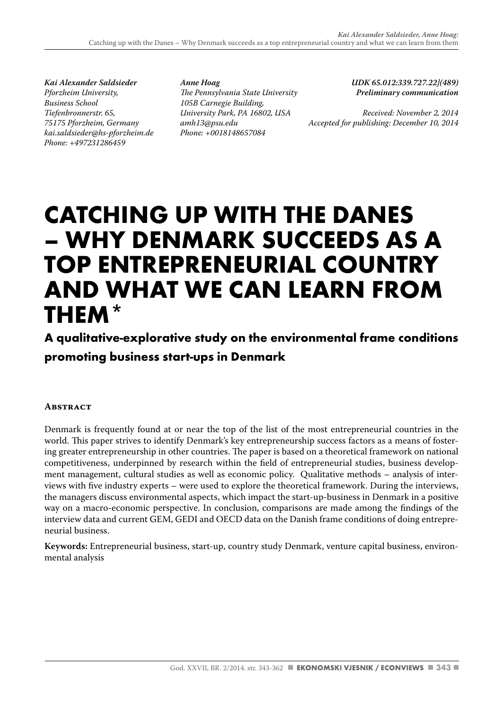*Kai Alexander Saldsieder Pforzheim University, Business School Tiefenbronnerstr. 65, 75175 Pforzheim, Germany kai.saldsieder@hs-pforzheim.de Phone: +497231286459*

*Anne Hoag The Pennsylvania State University 105B Carnegie Building, University Park, PA 16802, USA amh13@psu.edu Phone: +0018148657084*

*UDK 65.012:339.727.22](489) Preliminary communication*

*Received: November 2, 2014 Accepted for publishing: December 10, 2014*

# **CATCHING UP WITH THE DANES – WHY DENMARK SUCCEEDS AS A TOP ENTREPRENEURIAL COUNTRY AND WHAT WE CAN LEARN FROM THEM\***

### **A qualitative-explorative study on the environmental frame conditions promoting business start-ups in Denmark**

#### **Abstract**

Denmark is frequently found at or near the top of the list of the most entrepreneurial countries in the world. This paper strives to identify Denmark's key entrepreneurship success factors as a means of fostering greater entrepreneurship in other countries. The paper is based on a theoretical framework on national competitiveness, underpinned by research within the field of entrepreneurial studies, business development management, cultural studies as well as economic policy. Qualitative methods – analysis of interviews with five industry experts – were used to explore the theoretical framework. During the interviews, the managers discuss environmental aspects, which impact the start-up-business in Denmark in a positive way on a macro-economic perspective. In conclusion, comparisons are made among the findings of the interview data and current GEM, GEDI and OECD data on the Danish frame conditions of doing entrepreneurial business.

**Keywords:** Entrepreneurial business, start-up, country study Denmark, venture capital business, environmental analysis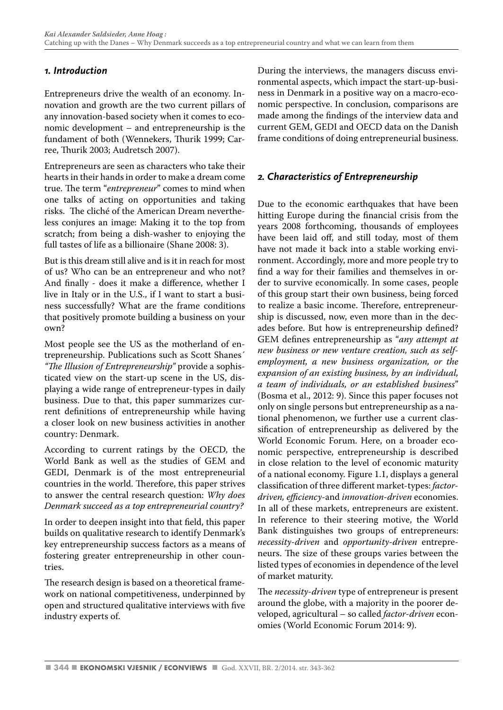#### *1. Introduction*

Entrepreneurs drive the wealth of an economy. Innovation and growth are the two current pillars of any innovation-based society when it comes to economic development – and entrepreneurship is the fundament of both (Wennekers, Thurik 1999; Carree, Thurik 2003; Audretsch 2007).

Entrepreneurs are seen as characters who take their hearts in their hands in order to make a dream come true. The term "*entrepreneur*" comes to mind when one talks of acting on opportunities and taking risks. The cliché of the American Dream nevertheless conjures an image: Making it to the top from scratch; from being a dish-washer to enjoying the full tastes of life as a billionaire (Shane 2008: 3).

But is this dream still alive and is it in reach for most of us? Who can be an entrepreneur and who not? And finally - does it make a difference, whether I live in Italy or in the U.S., if I want to start a business successfully? What are the frame conditions that positively promote building a business on your own?

Most people see the US as the motherland of entrepreneurship. Publications such as Scott Shanes´ *"The Illusion of Entrepreneurship"* provide a sophisticated view on the start-up scene in the US, displaying a wide range of entrepreneur-types in daily business. Due to that, this paper summarizes current definitions of entrepreneurship while having a closer look on new business activities in another country: Denmark.

According to current ratings by the OECD, the World Bank as well as the studies of GEM and GEDI, Denmark is of the most entrepreneurial countries in the world. Therefore, this paper strives to answer the central research question: *Why does Denmark succeed as a top entrepreneurial country?*

In order to deepen insight into that field, this paper builds on qualitative research to identify Denmark's key entrepreneurship success factors as a means of fostering greater entrepreneurship in other countries.

The research design is based on a theoretical framework on national competitiveness, underpinned by open and structured qualitative interviews with five industry experts of.

During the interviews, the managers discuss environmental aspects, which impact the start-up-business in Denmark in a positive way on a macro-economic perspective. In conclusion, comparisons are made among the findings of the interview data and current GEM, GEDI and OECD data on the Danish frame conditions of doing entrepreneurial business.

#### *2. Characteristics of Entrepreneurship*

Due to the economic earthquakes that have been hitting Europe during the financial crisis from the years 2008 forthcoming, thousands of employees have been laid off, and still today, most of them have not made it back into a stable working environment. Accordingly, more and more people try to find a way for their families and themselves in order to survive economically. In some cases, people of this group start their own business, being forced to realize a basic income. Therefore, entrepreneurship is discussed, now, even more than in the decades before. But how is entrepreneurship defined? GEM defines entrepreneurship as "*any attempt at new business or new venture creation, such as selfemployment, a new business organization, or the expansion of an existing business, by an individual, a team of individuals, or an established business*" (Bosma et al., 2012: 9). Since this paper focuses not only on single persons but entrepreneurship as a national phenomenon, we further use a current classification of entrepreneurship as delivered by the World Economic Forum. Here, on a broader economic perspective, entrepreneurship is described in close relation to the level of economic maturity of a national economy. Figure 1.1, displays a general classification of three different market-types: *factordriven, efficiency*-and *innovation-driven* economies. In all of these markets, entrepreneurs are existent. In reference to their steering motive, the World Bank distinguishes two groups of entrepreneurs: *necessity-driven* and *opportunity-driven* entrepreneurs. The size of these groups varies between the listed types of economies in dependence of the level of market maturity.

The *necessity-driven* type of entrepreneur is present around the globe, with a majority in the poorer developed, agricultural – so called *factor-driven* economies (World Economic Forum 2014: 9).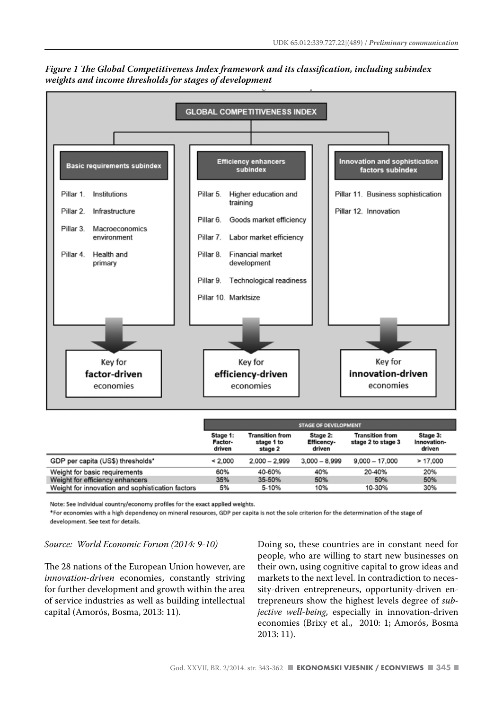

*Figure 1 The Global Competitiveness Index framework and its classification, including subindex weights and income thresholds for stages of development*

|                                                  | <b>STAGE OF DEVELOPMENT</b>   |                                                 |                                         |                                              |                                   |  |  |
|--------------------------------------------------|-------------------------------|-------------------------------------------------|-----------------------------------------|----------------------------------------------|-----------------------------------|--|--|
|                                                  | Stage 1:<br>Factor-<br>driven | <b>Transition from</b><br>stage 1 to<br>stage 2 | Stage 2:<br><b>Efficency-</b><br>driven | <b>Transition from</b><br>stage 2 to stage 3 | Stage 3:<br>Innovation-<br>driven |  |  |
| GDP per capita (US\$) thresholds*                | < 2,000                       | $2.000 - 2.999$                                 | $3,000 - 8,999$                         | $9,000 - 17,000$                             | > 17,000                          |  |  |
| Weight for basic requirements                    | 60%                           | 40-60%                                          | 40%                                     | 20-40%                                       | 20%                               |  |  |
| Weight for efficiency enhancers                  | 35%                           | 35-50%                                          | 50%                                     | 50%                                          | 50%                               |  |  |
| Weight for innovation and sophistication factors | 5%                            | 5-10%                                           | 10%                                     | 10-30%                                       | 30%                               |  |  |

Note: See individual country/economy profiles for the exact applied weights.

\*For economies with a high dependency on mineral resources, GDP per capita is not the sole criterion for the determination of the stage of development. See text for details.

*Source: World Economic Forum (2014: 9-10)*

The 28 nations of the European Union however, are *innovation-driven* economies, constantly striving for further development and growth within the area of service industries as well as building intellectual capital (Amorós, Bosma, 2013: 11).

Doing so, these countries are in constant need for people, who are willing to start new businesses on their own, using cognitive capital to grow ideas and markets to the next level. In contradiction to necessity-driven entrepreneurs, opportunity-driven entrepreneurs show the highest levels degree of *subjective well-being*, especially in innovation-driven economies (Brixy et al., 2010: 1; Amorós, Bosma 2013: 11).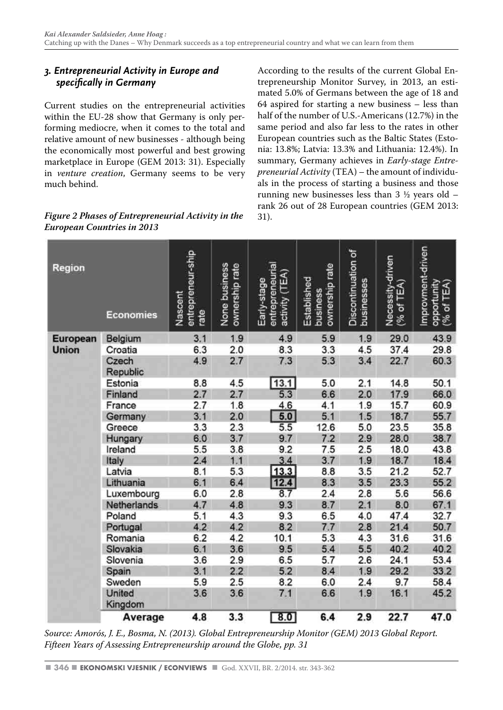#### *3. Entrepreneurial Activity in Europe and specifically in Germany*

Current studies on the entrepreneurial activities within the EU-28 show that Germany is only performing mediocre, when it comes to the total and relative amount of new businesses - although being the economically most powerful and best growing marketplace in Europe (GEM 2013: 31). Especially in *venture creation*, Germany seems to be very much behind.

#### *Figure 2 Phases of Entrepreneurial Activity in the European Countries in 2013*

According to the results of the current Global Entrepreneurship Monitor Survey, in 2013, an estimated 5.0% of Germans between the age of 18 and 64 aspired for starting a new business – less than half of the number of U.S.-Americans (12.7%) in the same period and also far less to the rates in other European countries such as the Baltic States (Estonia: 13.8%; Latvia: 13.3% and Lithuania: 12.4%). In summary, Germany achieves in *Early-stage Entrepreneurial Activity* (TEA) – the amount of individuals in the process of starting a business and those running new businesses less than  $3\frac{1}{2}$  years old – rank 26 out of 28 European countries (GEM 2013: 31).

| <b>Region</b>                   | <b>Economies</b>  | entrepreneur-ship<br>Nascent<br>rate | None business<br>ownership rate | entrepreneurial<br>activity (TEA)<br>Early-stage | ownership rate<br>Established<br>business | Discontinuation of<br>businesses | Necessity-driven<br>$(% \mathbb{R}^n)$ of TEA) | Improvment-driven<br>opportunity<br>(% of TEA) |
|---------------------------------|-------------------|--------------------------------------|---------------------------------|--------------------------------------------------|-------------------------------------------|----------------------------------|------------------------------------------------|------------------------------------------------|
| <b>European</b><br><b>Union</b> | Belgium           | 3.1                                  | 1.9                             | 4.9                                              | 5.9                                       | 1.9                              | 29.0                                           | 43.9                                           |
|                                 | Croatia           | 6.3                                  | 2.0                             | 8.3                                              | 3.3                                       | 4.5                              | 37.4                                           | 29.8                                           |
|                                 | Czech<br>Republic | 4.9                                  | 2.7                             | 7.3                                              | 5.3                                       | 3.4                              | 22.7                                           | 60.3                                           |
|                                 | Estonia           | 8.8                                  | 4.5                             |                                                  | 5.0                                       | 2.1                              | 14.8                                           | 50.1                                           |
|                                 | Finland           | 2.7                                  | 2.7                             | $\frac{13.1}{5.3}$                               | 6.6                                       | 2.0                              | 17.9                                           | 66.0                                           |
|                                 | France            | 2.7                                  | 1.8                             | 4.6                                              | 4.1                                       | 1.9                              | 15.7                                           | 60.9                                           |
|                                 | Germany           | 3.1                                  | 2.0                             | 5.0                                              | 5.1                                       | 1.5                              | 18.7                                           | 55.7                                           |
|                                 | Greece            | 3.3                                  | 2.3                             | 5.5                                              | 12.6                                      | 5.0                              | 23.5                                           | 35.8                                           |
|                                 | Hungary           | 6.0                                  | 3.7                             | 9.7                                              | 7.2                                       | 2.9                              | 28.0                                           | 38.7                                           |
|                                 | Ireland           | 5.5                                  | 3.8                             | 9.2                                              | 7.5                                       | 2.5                              | 18.0                                           | 43.8                                           |
|                                 | Italy             | 2.4                                  | 1.1                             | 3.4                                              | 3.7                                       | 1,9                              | 18.7                                           | 18.4                                           |
|                                 | Latvia            | 8.1                                  | 5.3                             | 13.3                                             | 8.8                                       | 3.5                              | 21.2                                           | 52.7                                           |
|                                 | Lithuania         | 6.1                                  | 6.4                             | 12.4                                             | 8.3                                       | 3.5                              | 23.3                                           | 55.2                                           |
|                                 | Luxembourg        | 6.0                                  | 2.8                             | 8.7                                              | 2.4                                       | 2.8                              | 5.6                                            | 56.6                                           |
|                                 | Netherlands       | 4.7                                  | 4.8                             | 9.3                                              | 8.7                                       | 2.1                              | 8.0                                            | 67.1                                           |
|                                 | Poland            | 5.1                                  | 4.3                             | 9.3                                              | 6.5                                       | 4.0                              | 47.4                                           | 32.7                                           |
|                                 | Portugal          | 4.2                                  | 4.2                             | 8.2                                              | 7.7                                       | 2.8                              | 21.4                                           | 50.7                                           |
|                                 | Romania           | 6.2                                  | 4.2                             | 10.1                                             | 5.3                                       | 4.3                              | 31.6                                           | 31.6                                           |
|                                 | Slovakia          | 6.1                                  | 3.6                             | 9.5                                              | 5.4                                       | 5.5                              | 40.2                                           | 40.2                                           |
|                                 | Slovenia          | 3.6                                  | 2.9                             | 6.5                                              | 5.7                                       | 2.6                              | 24.1                                           | 53.4                                           |
|                                 | Spain             | 3.1                                  | 2.2                             | 5.2                                              | 8.4                                       | 1.9                              | 29.2                                           | 33.2                                           |
|                                 | Sweden            | 5.9                                  | 2.5                             | 8.2                                              | 6.0                                       | 2.4                              | 9.7                                            | 58.4                                           |
|                                 | United<br>Kingdom | 3.6                                  | 3.6                             | 7.1                                              | 6.6                                       | 1.9                              | 16.1                                           | 45.2                                           |
|                                 | Average           | 4.8                                  | 3.3                             | 8.0                                              | 6.4                                       | 2.9                              | 22.7                                           | 47.0                                           |

*Source: Amorós, J. E., Bosma, N. (2013). Global Entrepreneurship Monitor (GEM) 2013 Global Report. Fifteen Years of Assessing Entrepreneurship around the Globe, pp. 31*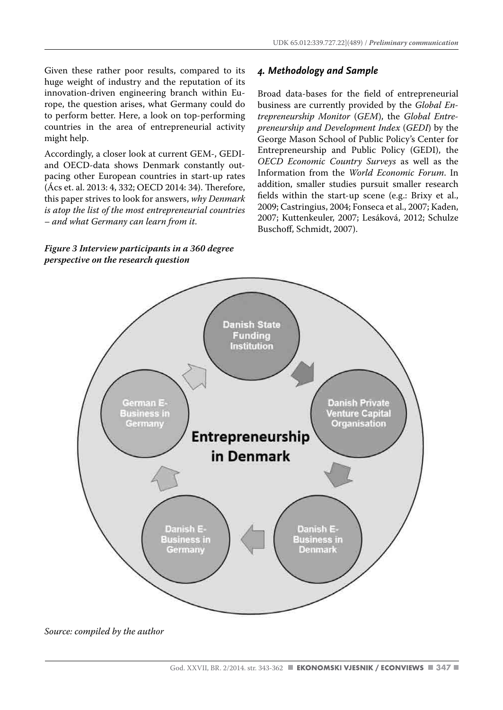Given these rather poor results, compared to its huge weight of industry and the reputation of its innovation-driven engineering branch within Europe, the question arises, what Germany could do to perform better. Here, a look on top-performing countries in the area of entrepreneurial activity might help.

Accordingly, a closer look at current GEM-, GEDIand OECD-data shows Denmark constantly outpacing other European countries in start-up rates (Ács et. al. 2013: 4, 332; OECD 2014: 34). Therefore, this paper strives to look for answers, *why Denmark is atop the list of the most entrepreneurial countries – and what Germany can learn from it*.

*Figure 3 Interview participants in a 360 degree* 

*perspective on the research question*

#### *4. Methodology and Sample*

Broad data-bases for the field of entrepreneurial business are currently provided by the *Global Entrepreneurship Monitor* (*GEM*), the *Global Entrepreneurship and Development Index* (*GEDI*) by the George Mason School of Public Policy's Center for Entrepreneurship and Public Policy (GEDI), the *OECD Economic Country Surveys* as well as the Information from the *World Economic Forum*. In addition, smaller studies pursuit smaller research fields within the start-up scene (e.g.: Brixy et al., 2009; Castringius, 2004; Fonseca et al., 2007; Kaden, 2007; Kuttenkeuler, 2007; Lesáková, 2012; Schulze Buschoff, Schmidt, 2007).



*Source: compiled by the author*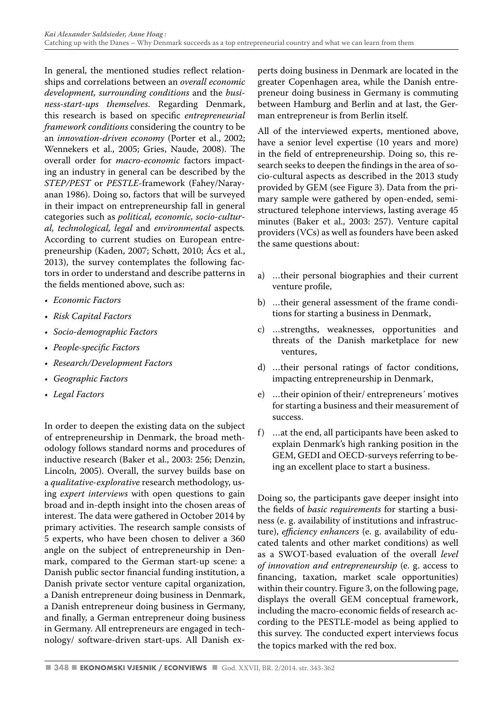In general, the mentioned studies reflect relationships and correlations between an *overall economic development, surrounding conditions* and the *business-start-ups themselves*. Regarding Denmark, this research is based on specific *entrepreneurial framework conditions* considering the country to be an *innovation-driven economy* (Porter et al., 2002; Wennekers et al., 2005; Gries, Naude, 2008). The overall order for *macro-economic* factors impacting an industry in general can be described by the *STEP/PEST* or *PESTLE*-framework (Fahey/Narayanan 1986). Doing so, factors that will be surveyed in their impact on entrepreneurship fall in general categories such as *political, economic, socio-cultural, technological, legal* and *environmental* aspects*.*  According to current studies on European entrepreneurship (Kaden, 2007; Schøtt, 2010; Ács et al., 2013), the survey contemplates the following factors in order to understand and describe patterns in the fields mentioned above, such as:

- *• Economic Factors*
- *• Risk Capital Factors*
- *• Socio-demographic Factors*
- *• People-specific Factors*
- *• Research/Development Factors*
- *• Geographic Factors*
- *• Legal Factors*

In order to deepen the existing data on the subject of entrepreneurship in Denmark, the broad methodology follows standard norms and procedures of inductive research (Baker et al., 2003: 256; Denzin, Lincoln, 2005). Overall, the survey builds base on a *qualitative-explorative* research methodology, using *expert interviews* with open questions to gain broad and in-depth insight into the chosen areas of interest. The data were gathered in October 2014 by primary activities. The research sample consists of 5 experts, who have been chosen to deliver a 360 angle on the subject of entrepreneurship in Denmark, compared to the German start-up scene: a Danish public sector financial funding institution, a Danish private sector venture capital organization, a Danish entrepreneur doing business in Denmark, a Danish entrepreneur doing business in Germany, and finally, a German entrepreneur doing business in Germany. All entrepreneurs are engaged in technology/ software-driven start-ups. All Danish experts doing business in Denmark are located in the greater Copenhagen area, while the Danish entrepreneur doing business in Germany is commuting between Hamburg and Berlin and at last, the German entrepreneur is from Berlin itself.

All of the interviewed experts, mentioned above, have a senior level expertise (10 years and more) in the field of entrepreneurship. Doing so, this research seeks to deepen the findings in the area of socio-cultural aspects as described in the 2013 study provided by GEM (see Figure 3). Data from the primary sample were gathered by open-ended, semistructured telephone interviews, lasting average 45 minutes (Baker et al., 2003: 257). Venture capital providers (VCs) as well as founders have been asked the same questions about:

- a) …their personal biographies and their current venture profile,
- b) …their general assessment of the frame conditions for starting a business in Denmark,
- c) …strengths, weaknesses, opportunities and threats of the Danish marketplace for new ventures,
- d) …their personal ratings of factor conditions, impacting entrepreneurship in Denmark,
- e) …their opinion of their/ entrepreneurs´ motives for starting a business and their measurement of success.
- f) …at the end, all participants have been asked to explain Denmark's high ranking position in the GEM, GEDI and OECD-surveys referring to being an excellent place to start a business.

Doing so, the participants gave deeper insight into the fields of *basic requirements* for starting a business (e. g. availability of institutions and infrastructure), *efficiency enhancers* (e. g. availability of educated talents and other market conditions) as well as a SWOT-based evaluation of the overall *level of innovation and entrepreneurship* (e. g. access to financing, taxation, market scale opportunities) within their country. Figure 3, on the following page, displays the overall GEM conceptual framework, including the macro-economic fields of research according to the PESTLE-model as being applied to this survey. The conducted expert interviews focus the topics marked with the red box.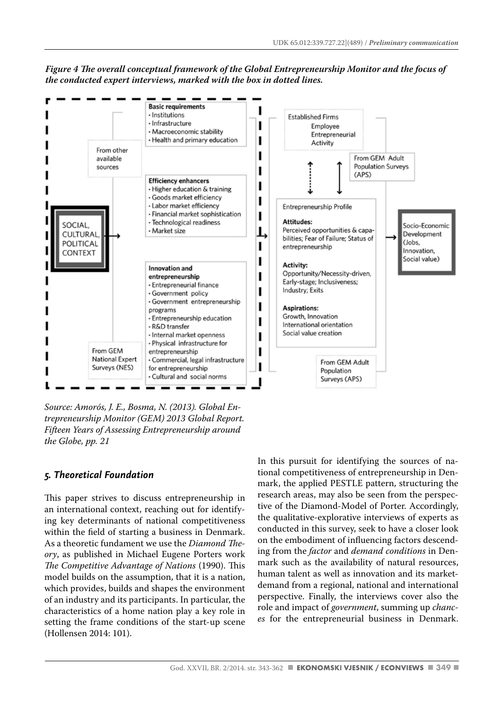

*Figure 4 The overall conceptual framework of the Global Entrepreneurship Monitor and the focus of the conducted expert interviews, marked with the box in dotted lines.*

*Source: Amorós, J. E., Bosma, N. (2013). Global Entrepreneurship Monitor (GEM) 2013 Global Report. Fifteen Years of Assessing Entrepreneurship around the Globe, pp. 21*

#### *5. Theoretical Foundation*

This paper strives to discuss entrepreneurship in an international context, reaching out for identifying key determinants of national competitiveness within the field of starting a business in Denmark. As a theoretic fundament we use the *Diamond Theory*, as published in Michael Eugene Porters work *The Competitive Advantage of Nations* (1990). This model builds on the assumption, that it is a nation, which provides, builds and shapes the environment of an industry and its participants. In particular, the characteristics of a home nation play a key role in setting the frame conditions of the start-up scene (Hollensen 2014: 101).

In this pursuit for identifying the sources of national competitiveness of entrepreneurship in Denmark, the applied PESTLE pattern, structuring the research areas, may also be seen from the perspective of the Diamond-Model of Porter. Accordingly, the qualitative-explorative interviews of experts as conducted in this survey, seek to have a closer look on the embodiment of influencing factors descending from the *factor* and *demand conditions* in Denmark such as the availability of natural resources, human talent as well as innovation and its marketdemand from a regional, national and international perspective. Finally, the interviews cover also the role and impact of *government*, summing up *chances* for the entrepreneurial business in Denmark.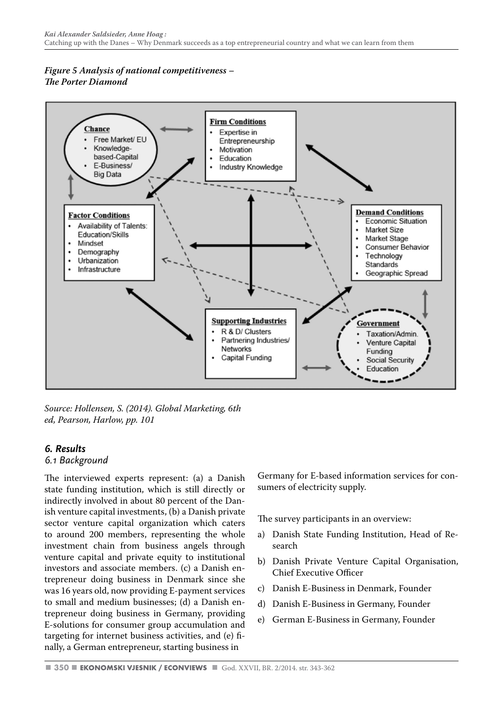#### *Figure 5 Analysis of national competitiveness – The Porter Diamond*



*Source: Hollensen, S. (2014). Global Marketing, 6th ed, Pearson, Harlow, pp. 101*

#### *6. Results*

#### *6.1 Background*

The interviewed experts represent: (a) a Danish state funding institution, which is still directly or indirectly involved in about 80 percent of the Danish venture capital investments, (b) a Danish private sector venture capital organization which caters to around 200 members, representing the whole investment chain from business angels through venture capital and private equity to institutional investors and associate members. (c) a Danish entrepreneur doing business in Denmark since she was 16 years old, now providing E-payment services to small and medium businesses; (d) a Danish entrepreneur doing business in Germany, providing E-solutions for consumer group accumulation and targeting for internet business activities, and (e) finally, a German entrepreneur, starting business in

Germany for E-based information services for consumers of electricity supply.

The survey participants in an overview:

- a) Danish State Funding Institution, Head of Research
- b) Danish Private Venture Capital Organisation, Chief Executive Officer
- c) Danish E-Business in Denmark, Founder
- d) Danish E-Business in Germany, Founder
- e) German E-Business in Germany, Founder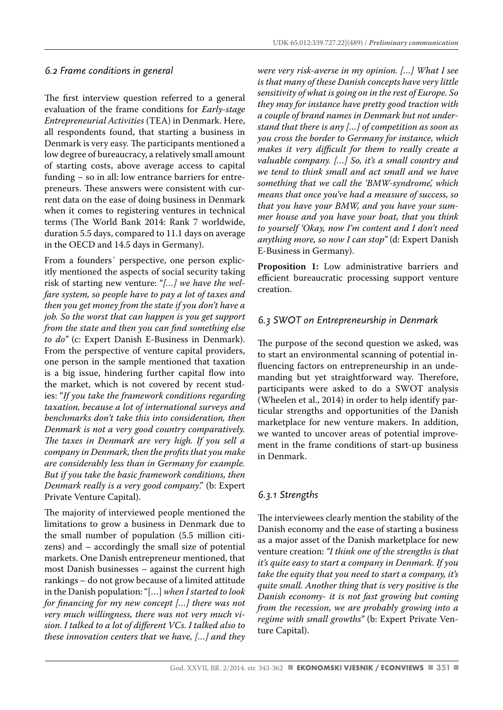#### *6.2 Frame conditions in general*

The first interview question referred to a general evaluation of the frame conditions for *Early-stage Entrepreneurial Activities* (TEA) in Denmark. Here, all respondents found, that starting a business in Denmark is very easy. The participants mentioned a low degree of bureaucracy, a relatively small amount of starting costs, above average access to capital funding – so in all: low entrance barriers for entrepreneurs. These answers were consistent with current data on the ease of doing business in Denmark when it comes to registering ventures in technical terms (The World Bank 2014: Rank 7 worldwide, duration 5.5 days, compared to 11.1 days on average in the OECD and 14.5 days in Germany).

From a founders´ perspective, one person explicitly mentioned the aspects of social security taking risk of starting new venture: "*[…] we have the welfare system, so people have to pay a lot of taxes and then you get money from the state if you don't have a job. So the worst that can happen is you get support from the state and then you can find something else to do"* (c: Expert Danish E-Business in Denmark). From the perspective of venture capital providers, one person in the sample mentioned that taxation is a big issue, hindering further capital flow into the market, which is not covered by recent studies: "*If you take the framework conditions regarding taxation, because a lot of international surveys and benchmarks don't take this into consideration, then Denmark is not a very good country comparatively. The taxes in Denmark are very high. If you sell a company in Denmark, then the profits that you make are considerably less than in Germany for example. But if you take the basic framework conditions, then Denmark really is a very good company*." (b: Expert Private Venture Capital).

The majority of interviewed people mentioned the limitations to grow a business in Denmark due to the small number of population (5.5 million citizens) and – accordingly the small size of potential markets. One Danish entrepreneur mentioned, that most Danish businesses – against the current high rankings – do not grow because of a limited attitude in the Danish population: "[…] *when I started to look for financing for my new concept […] there was not very much willingness, there was not very much vision. I talked to a lot of different VCs. I talked also to these innovation centers that we have, […] and they* 

*were very risk-averse in my opinion. […] What I see is that many of these Danish concepts have very little sensitivity of what is going on in the rest of Europe. So they may for instance have pretty good traction with a couple of brand names in Denmark but not understand that there is any […] of competition as soon as you cross the border to Germany for instance, which makes it very difficult for them to really create a valuable company. […] So, it's a small country and we tend to think small and act small and we have something that we call the 'BMW-syndrome', which means that once you've had a measure of success, so that you have your BMW, and you have your summer house and you have your boat, that you think to yourself 'Okay, now I'm content and I don't need anything more, so now I can stop"* (d: Expert Danish E-Business in Germany).

**Proposition 1:** Low administrative barriers and efficient bureaucratic processing support venture creation.

#### *6.3 SWOT on Entrepreneurship in Denmark*

The purpose of the second question we asked, was to start an environmental scanning of potential influencing factors on entrepreneurship in an undemanding but yet straightforward way. Therefore, participants were asked to do a SWOT analysis (Wheelen et al., 2014) in order to help identify particular strengths and opportunities of the Danish marketplace for new venture makers. In addition, we wanted to uncover areas of potential improvement in the frame conditions of start-up business in Denmark.

#### *6.3.1 Strengths*

The interviewees clearly mention the stability of the Danish economy and the ease of starting a business as a major asset of the Danish marketplace for new venture creation: *"I think one of the strengths is that it's quite easy to start a company in Denmark. If you take the equity that you need to start a company, it's quite small. Another thing that is very positive is the Danish economy- it is not fast growing but coming from the recession, we are probably growing into a regime with small growths"* (b: Expert Private Venture Capital).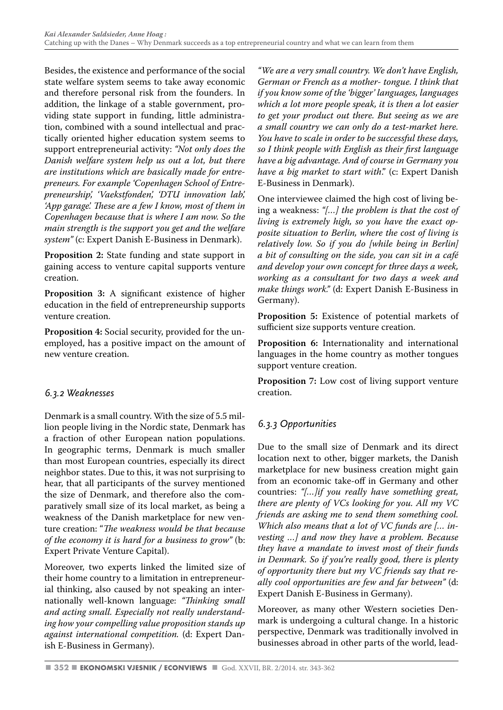Besides, the existence and performance of the social state welfare system seems to take away economic and therefore personal risk from the founders. In addition, the linkage of a stable government, providing state support in funding, little administration, combined with a sound intellectual and practically oriented higher education system seems to support entrepreneurial activity: *"Not only does the Danish welfare system help us out a lot, but there are institutions which are basically made for entrepreneurs. For example 'Copenhagen School of Entrepreneurship', 'Vaekstfonden', 'DTU innovation lab', 'App garage'. These are a few I know, most of them in Copenhagen because that is where I am now. So the main strength is the support you get and the welfare system"* (c: Expert Danish E-Business in Denmark).

**Proposition 2:** State funding and state support in gaining access to venture capital supports venture creation.

**Proposition 3:** A significant existence of higher education in the field of entrepreneurship supports venture creation.

**Proposition 4:** Social security, provided for the unemployed, has a positive impact on the amount of new venture creation.

#### *6.3.2 Weaknesses*

Denmark is a small country. With the size of 5.5 million people living in the Nordic state, Denmark has a fraction of other European nation populations. In geographic terms, Denmark is much smaller than most European countries, especially its direct neighbor states. Due to this, it was not surprising to hear, that all participants of the survey mentioned the size of Denmark, and therefore also the comparatively small size of its local market, as being a weakness of the Danish marketplace for new venture creation: "*The weakness would be that because of the economy it is hard for a business to grow"* (b: Expert Private Venture Capital).

Moreover, two experts linked the limited size of their home country to a limitation in entrepreneurial thinking, also caused by not speaking an internationally well-known language: *"Thinking small and acting small. Especially not really understanding how your compelling value proposition stands up against international competition.* (d: Expert Danish E-Business in Germany).

*"We are a very small country. We don't have English, German or French as a mother- tongue. I think that if you know some of the 'bigger' languages, languages which a lot more people speak, it is then a lot easier to get your product out there. But seeing as we are a small country we can only do a test-market here. You have to scale in order to be successful these days, so I think people with English as their first language have a big advantage. And of course in Germany you have a big market to start with*." (c: Expert Danish E-Business in Denmark).

One interviewee claimed the high cost of living being a weakness: *"[…] the problem is that the cost of living is extremely high, so you have the exact opposite situation to Berlin, where the cost of living is relatively low. So if you do [while being in Berlin] a bit of consulting on the side, you can sit in a café and develop your own concept for three days a week, working as a consultant for two days a week and make things work."* (d: Expert Danish E-Business in Germany).

**Proposition 5:** Existence of potential markets of sufficient size supports venture creation.

**Proposition 6:** Internationality and international languages in the home country as mother tongues support venture creation.

**Proposition 7:** Low cost of living support venture creation.

#### *6.3.3 Opportunities*

Due to the small size of Denmark and its direct location next to other, bigger markets, the Danish marketplace for new business creation might gain from an economic take-off in Germany and other countries: *"[…]if you really have something great, there are plenty of VCs looking for you. All my VC friends are asking me to send them something cool. Which also means that a lot of VC funds are [… investing …] and now they have a problem. Because they have a mandate to invest most of their funds in Denmark. So if you're really good, there is plenty of opportunity there but my VC friends say that really cool opportunities are few and far between"* (d: Expert Danish E-Business in Germany).

Moreover, as many other Western societies Denmark is undergoing a cultural change. In a historic perspective, Denmark was traditionally involved in businesses abroad in other parts of the world, lead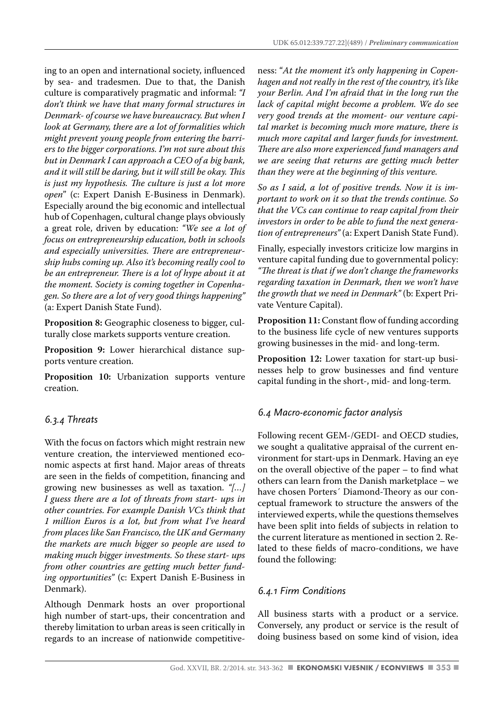ing to an open and international society, influenced by sea- and tradesmen. Due to that, the Danish culture is comparatively pragmatic and informal: *"I don't think we have that many formal structures in Denmark- of course we have bureaucracy. But when I look at Germany, there are a lot of formalities which might prevent young people from entering the barriers to the bigger corporations. I'm not sure about this but in Denmark I can approach a CEO of a big bank, and it will still be daring, but it will still be okay. This is just my hypothesis. The culture is just a lot more open*" (c: Expert Danish E-Business in Denmark). Especially around the big economic and intellectual hub of Copenhagen, cultural change plays obviously a great role, driven by education: *"We see a lot of focus on entrepreneurship education, both in schools and especially universities. There are entrepreneurship hubs coming up. Also it's becoming really cool to be an entrepreneur. There is a lot of hype about it at the moment. Society is coming together in Copenhagen. So there are a lot of very good things happening"*  (a: Expert Danish State Fund).

**Proposition 8:** Geographic closeness to bigger, culturally close markets supports venture creation.

**Proposition 9:** Lower hierarchical distance supports venture creation.

**Proposition 10:** Urbanization supports venture creation.

#### *6.3.4 Threats*

With the focus on factors which might restrain new venture creation, the interviewed mentioned economic aspects at first hand. Major areas of threats are seen in the fields of competition, financing and growing new businesses as well as taxation. *"[…] I guess there are a lot of threats from start- ups in other countries. For example Danish VCs think that 1 million Euros is a lot, but from what I've heard from places like San Francisco, the UK and Germany the markets are much bigger so people are used to making much bigger investments. So these start- ups from other countries are getting much better funding opportunities"* (c: Expert Danish E-Business in Denmark).

Although Denmark hosts an over proportional high number of start-ups, their concentration and thereby limitation to urban areas is seen critically in regards to an increase of nationwide competitive-

ness: "*At the moment it's only happening in Copenhagen and not really in the rest of the country, it's like your Berlin. And I'm afraid that in the long run the lack of capital might become a problem. We do see very good trends at the moment- our venture capital market is becoming much more mature, there is much more capital and larger funds for investment. There are also more experienced fund managers and we are seeing that returns are getting much better than they were at the beginning of this venture.* 

*So as I said, a lot of positive trends. Now it is important to work on it so that the trends continue. So that the VCs can continue to reap capital from their investors in order to be able to fund the next generation of entrepreneurs"* (a: Expert Danish State Fund).

Finally, especially investors criticize low margins in venture capital funding due to governmental policy: *"The threat is that if we don't change the frameworks regarding taxation in Denmark, then we won't have the growth that we need in Denmark"* (b: Expert Private Venture Capital).

**Proposition 11:** Constant flow of funding according to the business life cycle of new ventures supports growing businesses in the mid- and long-term.

**Proposition 12:** Lower taxation for start-up businesses help to grow businesses and find venture capital funding in the short-, mid- and long-term.

#### *6.4 Macro-economic factor analysis*

Following recent GEM-/GEDI- and OECD studies, we sought a qualitative appraisal of the current environment for start-ups in Denmark. Having an eye on the overall objective of the paper – to find what others can learn from the Danish marketplace – we have chosen Porters´ Diamond-Theory as our conceptual framework to structure the answers of the interviewed experts, while the questions themselves have been split into fields of subjects in relation to the current literature as mentioned in section 2. Related to these fields of macro-conditions, we have found the following:

#### *6.4.1 Firm Conditions*

All business starts with a product or a service. Conversely, any product or service is the result of doing business based on some kind of vision, idea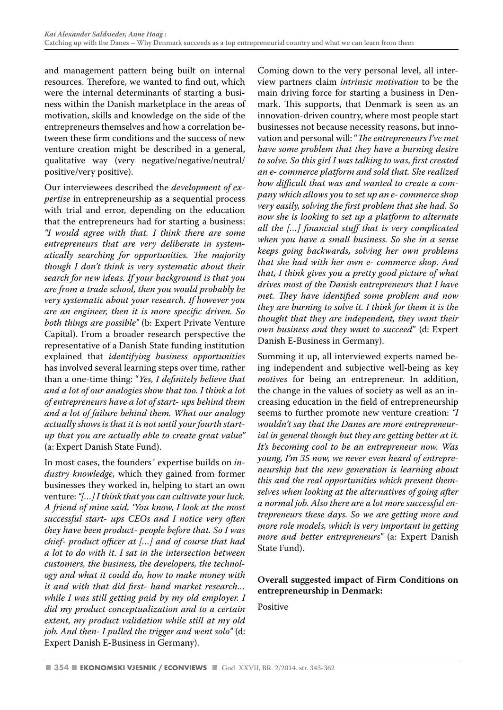and management pattern being built on internal resources. Therefore, we wanted to find out, which were the internal determinants of starting a business within the Danish marketplace in the areas of motivation, skills and knowledge on the side of the entrepreneurs themselves and how a correlation between these firm conditions and the success of new venture creation might be described in a general, qualitative way (very negative/negative/neutral/ positive/very positive).

Our interviewees described the *development of expertise* in entrepreneurship as a sequential process with trial and error, depending on the education that the entrepreneurs had for starting a business: *"I would agree with that. I think there are some entrepreneurs that are very deliberate in systematically searching for opportunities. The majority though I don't think is very systematic about their search for new ideas. If your background is that you are from a trade school, then you would probably be very systematic about your research. If however you are an engineer, then it is more specific driven. So both things are possible"* (b: Expert Private Venture Capital). From a broader research perspective the representative of a Danish State funding institution explained that *identifying business opportunities* has involved several learning steps over time, rather than a one-time thing: "*Yes, I definitely believe that and a lot of our analogies show that too. I think a lot of entrepreneurs have a lot of start- ups behind them and a lot of failure behind them. What our analogy actually shows is that it is not until your fourth startup that you are actually able to create great value"*  (a: Expert Danish State Fund).

In most cases, the founders´ expertise builds on *industry knowledge*, which they gained from former businesses they worked in, helping to start an own venture: *"[…] I think that you can cultivate your luck. A friend of mine said, 'You know, I look at the most successful start- ups CEOs and I notice very often they have been product- people before that. So I was chief- product officer at […] and of course that had a lot to do with it. I sat in the intersection between customers, the business, the developers, the technology and what it could do, how to make money with it and with that did first- hand market research… while I was still getting paid by my old employer. I did my product conceptualization and to a certain extent, my product validation while still at my old job. And then- I pulled the trigger and went solo"* (d: Expert Danish E-Business in Germany).

Coming down to the very personal level, all interview partners claim *intrinsic motivation* to be the main driving force for starting a business in Denmark. This supports, that Denmark is seen as an innovation-driven country, where most people start businesses not because necessity reasons, but innovation and personal will: "*The entrepreneurs I've met have some problem that they have a burning desire to solve. So this girl I was talking to was, first created an e- commerce platform and sold that. She realized how difficult that was and wanted to create a company which allows you to set up an e- commerce shop very easily, solving the first problem that she had. So now she is looking to set up a platform to alternate all the […] financial stuff that is very complicated when you have a small business. So she in a sense keeps going backwards, solving her own problems that she had with her own e- commerce shop. And that, I think gives you a pretty good picture of what drives most of the Danish entrepreneurs that I have met. They have identified some problem and now they are burning to solve it. I think for them it is the thought that they are independent, they want their own business and they want to succeed*" (d: Expert Danish E-Business in Germany).

Summing it up, all interviewed experts named being independent and subjective well-being as key *motives* for being an entrepreneur. In addition, the change in the values of society as well as an increasing education in the field of entrepreneurship seems to further promote new venture creation: *"I wouldn't say that the Danes are more entrepreneurial in general though but they are getting better at it. It's becoming cool to be an entrepreneur now. Was young, I'm 35 now, we never even heard of entrepreneurship but the new generation is learning about this and the real opportunities which present themselves when looking at the alternatives of going after a normal job. Also there are a lot more successful entrepreneurs these days. So we are getting more and more role models, which is very important in getting more and better entrepreneurs"* (a: Expert Danish State Fund).

#### **Overall suggested impact of Firm Conditions on entrepreneurship in Denmark:**

Positive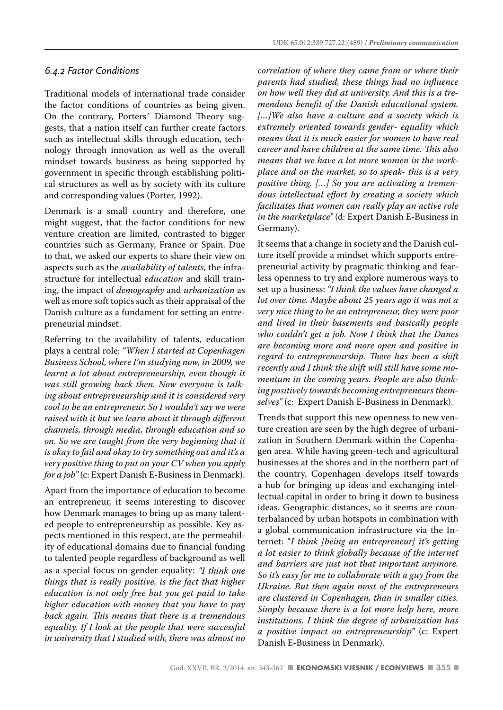#### *6.4.2 Factor Conditions*

Traditional models of international trade consider the factor conditions of countries as being given. On the contrary, Porters´ Diamond Theory suggests, that a nation itself can further create factors such as intellectual skills through education, technology through innovation as well as the overall mindset towards business as being supported by government in specific through establishing political structures as well as by society with its culture and corresponding values (Porter, 1992).

Denmark is a small country and therefore, one might suggest, that the factor conditions for new venture creation are limited, contrasted to bigger countries such as Germany, France or Spain. Due to that, we asked our experts to share their view on aspects such as the *availability of talents*, the infrastructure for intellectual *education* and skill training, the impact of *demography* and *urbanization* as well as more soft topics such as their appraisal of the Danish culture as a fundament for setting an entrepreneurial mindset.

Referring to the availability of talents, education plays a central role: *"When I started at Copenhagen Business School, where I'm studying now, in 2009, we learnt a lot about entrepreneurship, even though it was still growing back then. Now everyone is talking about entrepreneurship and it is considered very cool to be an entrepreneur. So I wouldn't say we were raised with it but we learn about it through different channels, through media, through education and so on. So we are taught from the very beginning that it is okay to fail and okay to try something out and it's a very positive thing to put on your CV when you apply for a job"* (c: Expert Danish E-Business in Denmark).

Apart from the importance of education to become an entrepreneur, it seems interesting to discover how Denmark manages to bring up as many talented people to entrepreneurship as possible. Key aspects mentioned in this respect, are the permeability of educational domains due to financial funding to talented people regardless of background as well as a special focus on gender equality: *"I think one things that is really positive, is the fact that higher education is not only free but you get paid to take higher education with money that you have to pay back again. This means that there is a tremendous equality. If I look at the people that were successful in university that I studied with, there was almost no*  *correlation of where they came from or where their parents had studied, these things had no influence on how well they did at university. And this is a tremendous benefit of the Danish educational system. […]We also have a culture and a society which is extremely oriented towards gender- equality which means that it is much easier for women to have real career and have children at the same time. This also means that we have a lot more women in the workplace and on the market, so to speak- this is a very positive thing. […] So you are activating a tremendous intellectual effort by creating a society which facilitates that women can really play an active role in the marketplace"* (d: Expert Danish E-Business in Germany).

It seems that a change in society and the Danish culture itself provide a mindset which supports entrepreneurial activity by pragmatic thinking and fearless openness to try and explore numerous ways to set up a business: *"I think the values have changed a lot over time. Maybe about 25 years ago it was not a very nice thing to be an entrepreneur, they were poor and lived in their basements and basically people who couldn't get a job. Now I think that the Danes are becoming more and more open and positive in regard to entrepreneurship. There has been a shift recently and I think the shift will still have some momentum in the coming years. People are also thinking positively towards becoming entrepreneurs themselves"* (c: Expert Danish E-Business in Denmark).

Trends that support this new openness to new venture creation are seen by the high degree of urbanization in Southern Denmark within the Copenhagen area. While having green-tech and agricultural businesses at the shores and in the northern part of the country, Copenhagen develops itself towards a hub for bringing up ideas and exchanging intellectual capital in order to bring it down to business ideas. Geographic distances, so it seems are counterbalanced by urban hotspots in combination with a global communication infrastructure via the Internet: "*I think [being an entrepreneur] it's getting a lot easier to think globally because of the internet and barriers are just not that important anymore. So it's easy for me to collaborate with a guy from the Ukraine. But then again most of the entrepreneurs are clustered in Copenhagen, than in smaller cities. Simply because there is a lot more help here, more institutions. I think the degree of urbanization has a positive impact on entrepreneurship"* (c: Expert Danish E-Business in Denmark).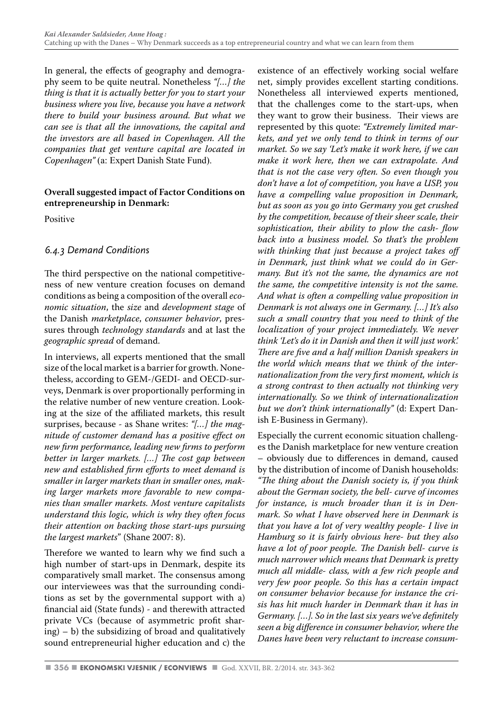In general, the effects of geography and demography seem to be quite neutral. Nonetheless *"[…] the thing is that it is actually better for you to start your business where you live, because you have a network there to build your business around. But what we can see is that all the innovations, the capital and the investors are all based in Copenhagen. All the companies that get venture capital are located in Copenhagen"* (a: Expert Danish State Fund).

#### **Overall suggested impact of Factor Conditions on entrepreneurship in Denmark:**

Positive

#### *6.4.3 Demand Conditions*

The third perspective on the national competitiveness of new venture creation focuses on demand conditions as being a composition of the overall *economic situation*, the *size* and *development stage* of the Danish *marketplace*, *consumer behavior*, pressures through *technology standards* and at last the *geographic spread* of demand.

In interviews, all experts mentioned that the small size of the local market is a barrier for growth. Nonetheless, according to GEM-/GEDI- and OECD-surveys, Denmark is over proportionally performing in the relative number of new venture creation. Looking at the size of the affiliated markets, this result surprises, because - as Shane writes: *"[…] the magnitude of customer demand has a positive effect on new firm performance, leading new firms to perform better in larger markets. […] The cost gap between new and established firm efforts to meet demand is smaller in larger markets than in smaller ones, making larger markets more favorable to new companies than smaller markets. Most venture capitalists understand this logic, which is why they often focus their attention on backing those start-ups pursuing the largest markets*" (Shane 2007: 8).

Therefore we wanted to learn why we find such a high number of start-ups in Denmark, despite its comparatively small market. The consensus among our interviewees was that the surrounding conditions as set by the governmental support with a) financial aid (State funds) - and therewith attracted private VCs (because of asymmetric profit shar $ing$  $) - b$ ) the subsidizing of broad and qualitatively sound entrepreneurial higher education and c) the

existence of an effectively working social welfare net, simply provides excellent starting conditions. Nonetheless all interviewed experts mentioned, that the challenges come to the start-ups, when they want to grow their business. Their views are represented by this quote: *"Extremely limited markets, and yet we only tend to think in terms of our market. So we say 'Let's make it work here, if we can make it work here, then we can extrapolate. And that is not the case very often. So even though you don't have a lot of competition, you have a USP, you have a compelling value proposition in Denmark, but as soon as you go into Germany you get crushed by the competition, because of their sheer scale, their sophistication, their ability to plow the cash- flow back into a business model. So that's the problem with thinking that just because a project takes off in Denmark, just think what we could do in Germany. But it's not the same, the dynamics are not the same, the competitive intensity is not the same. And what is often a compelling value proposition in Denmark is not always one in Germany. […] It's also such a small country that you need to think of the localization of your project immediately. We never think 'Let's do it in Danish and then it will just work'. There are five and a half million Danish speakers in the world which means that we think of the internationalization from the very first moment, which is a strong contrast to then actually not thinking very internationally. So we think of internationalization but we don't think internationally"* (d: Expert Danish E-Business in Germany).

Especially the current economic situation challenges the Danish marketplace for new venture creation – obviously due to differences in demand, caused by the distribution of income of Danish households: *"The thing about the Danish society is, if you think about the German society, the bell- curve of incomes for instance, is much broader than it is in Denmark. So what I have observed here in Denmark is that you have a lot of very wealthy people- I live in Hamburg so it is fairly obvious here- but they also have a lot of poor people. The Danish bell- curve is much narrower which means that Denmark is pretty much all middle- class, with a few rich people and very few poor people. So this has a certain impact on consumer behavior because for instance the crisis has hit much harder in Denmark than it has in Germany. […]. So in the last six years we've definitely seen a big difference in consumer behavior, where the Danes have been very reluctant to increase consum-*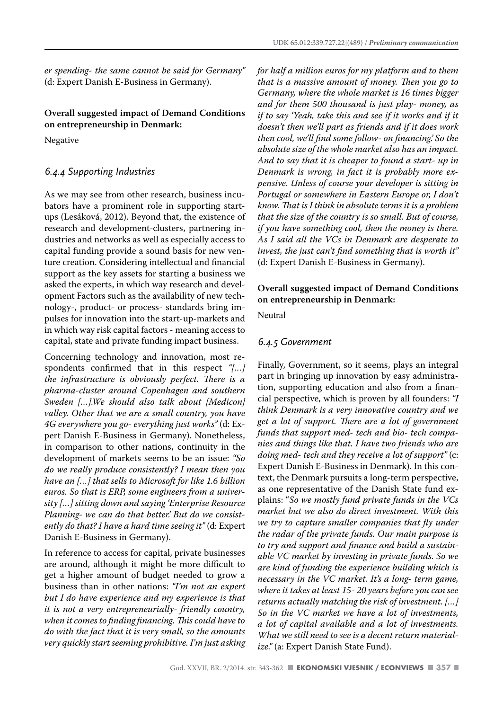*er spending- the same cannot be said for Germany"*  (d: Expert Danish E-Business in Germany).

#### **Overall suggested impact of Demand Conditions on entrepreneurship in Denmark:**

Negative

#### *6.4.4 Supporting Industries*

As we may see from other research, business incubators have a prominent role in supporting startups (Lesáková, 2012). Beyond that, the existence of research and development-clusters, partnering industries and networks as well as especially access to capital funding provide a sound basis for new venture creation. Considering intellectual and financial support as the key assets for starting a business we asked the experts, in which way research and development Factors such as the availability of new technology-, product- or process- standards bring impulses for innovation into the start-up-markets and in which way risk capital factors - meaning access to capital, state and private funding impact business.

Concerning technology and innovation, most respondents confirmed that in this respect *"[…] the infrastructure is obviously perfect. There is a pharma-cluster around Copenhagen and southern Sweden […].We should also talk about [Medicon] valley. Other that we are a small country, you have 4G everywhere you go- everything just works"* (d: Expert Danish E-Business in Germany). Nonetheless, in comparison to other nations, continuity in the development of markets seems to be an issue: *"So do we really produce consistently? I mean then you have an […] that sells to Microsoft for like 1.6 billion euros. So that is ERP, some engineers from a university […] sitting down and saying 'Enterprise Resource Planning- we can do that better.' But do we consistently do that? I have a hard time seeing it"* (d: Expert Danish E-Business in Germany).

In reference to access for capital, private businesses are around, although it might be more difficult to get a higher amount of budget needed to grow a business than in other nations: *"I'm not an expert but I do have experience and my experience is that it is not a very entrepreneurially- friendly country, when it comes to finding financing. This could have to do with the fact that it is very small, so the amounts very quickly start seeming prohibitive. I'm just asking*  *for half a million euros for my platform and to them that is a massive amount of money. Then you go to Germany, where the whole market is 16 times bigger and for them 500 thousand is just play- money, as if to say 'Yeah, take this and see if it works and if it doesn't then we'll part as friends and if it does work then cool, we'll find some follow- on financing.' So the absolute size of the whole market also has an impact. And to say that it is cheaper to found a start- up in Denmark is wrong, in fact it is probably more expensive. Unless of course your developer is sitting in Portugal or somewhere in Eastern Europe or, I don't know. That is I think in absolute terms it is a problem that the size of the country is so small. But of course, if you have something cool, then the money is there. As I said all the VCs in Denmark are desperate to invest, the just can't find something that is worth it"*  (d: Expert Danish E-Business in Germany).

#### **Overall suggested impact of Demand Conditions on entrepreneurship in Denmark:**

**Neutral** 

#### *6.4.5 Government*

Finally, Government, so it seems, plays an integral part in bringing up innovation by easy administration, supporting education and also from a financial perspective, which is proven by all founders: *"I think Denmark is a very innovative country and we get a lot of support. There are a lot of government funds that support med- tech and bio- tech companies and things like that. I have two friends who are doing med- tech and they receive a lot of support"* (c: Expert Danish E-Business in Denmark). In this context, the Denmark pursuits a long-term perspective, as one representative of the Danish State fund explains: "*So we mostly fund private funds in the VCs market but we also do direct investment. With this we try to capture smaller companies that fly under the radar of the private funds. Our main purpose is to try and support and finance and build a sustainable VC market by investing in private funds. So we are kind of funding the experience building which is necessary in the VC market. It's a long- term game, where it takes at least 15- 20 years before you can see returns actually matching the risk of investment. […] So in the VC market we have a lot of investments, a lot of capital available and a lot of investments. What we still need to see is a decent return materialize."* (a: Expert Danish State Fund).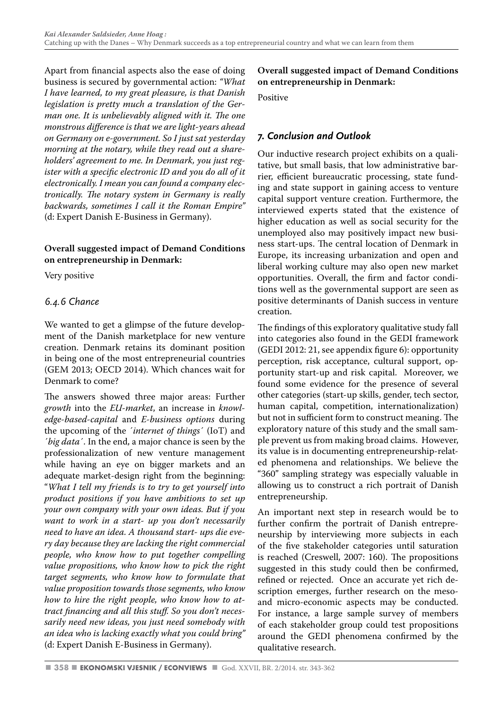Apart from financial aspects also the ease of doing business is secured by governmental action: *"What I have learned, to my great pleasure, is that Danish legislation is pretty much a translation of the German one. It is unbelievably aligned with it. The one monstrous difference is that we are light-years ahead on Germany on e-government. So I just sat yesterday morning at the notary, while they read out a shareholders' agreement to me. In Denmark, you just register with a specific electronic ID and you do all of it electronically. I mean you can found a company electronically. The notary system in Germany is really backwards, sometimes I call it the Roman Empire"*  (d: Expert Danish E-Business in Germany).

#### **Overall suggested impact of Demand Conditions on entrepreneurship in Denmark:**

Very positive

#### *6.4.6 Chance*

We wanted to get a glimpse of the future development of the Danish marketplace for new venture creation. Denmark retains its dominant position in being one of the most entrepreneurial countries (GEM 2013; OECD 2014). Which chances wait for Denmark to come?

The answers showed three major areas: Further *growth* into the *EU-market*, an increase in *knowledge-based-capital* and *E-business options* during the upcoming of the ´*internet of things*´ (IoT) and ´*big data*´. In the end, a major chance is seen by the professionalization of new venture management while having an eye on bigger markets and an adequate market-design right from the beginning: "*What I tell my friends is to try to get yourself into product positions if you have ambitions to set up your own company with your own ideas. But if you want to work in a start- up you don't necessarily need to have an idea. A thousand start- ups die every day because they are lacking the right commercial people, who know how to put together compelling value propositions, who know how to pick the right target segments, who know how to formulate that value proposition towards those segments, who know how to hire the right people, who know how to attract financing and all this stuff. So you don't necessarily need new ideas, you just need somebody with an idea who is lacking exactly what you could bring"*  (d: Expert Danish E-Business in Germany).

**Overall suggested impact of Demand Conditions on entrepreneurship in Denmark:** 

Positive

#### *7. Conclusion and Outlook*

Our inductive research project exhibits on a qualitative, but small basis, that low administrative barrier, efficient bureaucratic processing, state funding and state support in gaining access to venture capital support venture creation. Furthermore, the interviewed experts stated that the existence of higher education as well as social security for the unemployed also may positively impact new business start-ups. The central location of Denmark in Europe, its increasing urbanization and open and liberal working culture may also open new market opportunities. Overall, the firm and factor conditions well as the governmental support are seen as positive determinants of Danish success in venture creation.

The findings of this exploratory qualitative study fall into categories also found in the GEDI framework (GEDI 2012: 21, see appendix figure 6): opportunity perception, risk acceptance, cultural support, opportunity start-up and risk capital. Moreover, we found some evidence for the presence of several other categories (start-up skills, gender, tech sector, human capital, competition, internationalization) but not in sufficient form to construct meaning. The exploratory nature of this study and the small sample prevent us from making broad claims. However, its value is in documenting entrepreneurship-related phenomena and relationships. We believe the "360" sampling strategy was especially valuable in allowing us to construct a rich portrait of Danish entrepreneurship.

An important next step in research would be to further confirm the portrait of Danish entrepreneurship by interviewing more subjects in each of the five stakeholder categories until saturation is reached (Creswell, 2007: 160). The propositions suggested in this study could then be confirmed, refined or rejected. Once an accurate yet rich description emerges, further research on the mesoand micro-economic aspects may be conducted. For instance, a large sample survey of members of each stakeholder group could test propositions around the GEDI phenomena confirmed by the qualitative research.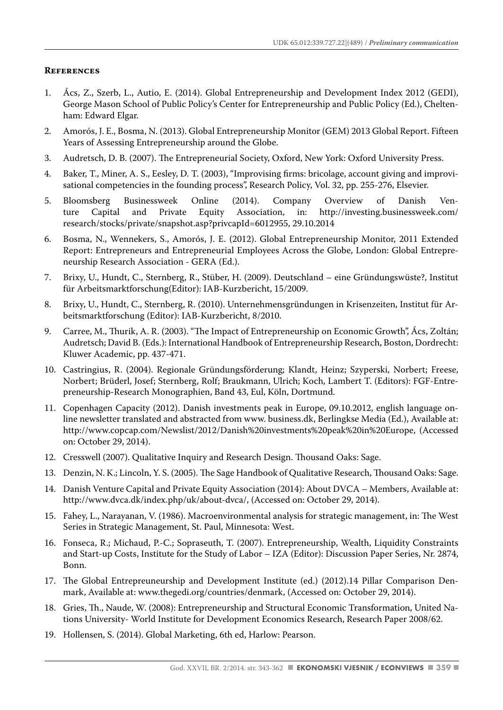#### **References**

- 1. Ács, Z., Szerb, L., Autio, E. (2014). Global Entrepreneurship and Development Index 2012 (GEDI), George Mason School of Public Policy's Center for Entrepreneurship and Public Policy (Ed.), Cheltenham: Edward Elgar.
- 2. Amorós, J. E., Bosma, N. (2013). Global Entrepreneurship Monitor (GEM) 2013 Global Report. Fifteen Years of Assessing Entrepreneurship around the Globe.
- 3. Audretsch, D. B. (2007). The Entrepreneurial Society, Oxford, New York: Oxford University Press.
- 4. Baker, T., Miner, A. S., Eesley, D. T. (2003), "Improvising firms: bricolage, account giving and improvisational competencies in the founding process", Research Policy, Vol. 32, pp. 255-276, Elsevier.
- 5. Bloomsberg Businessweek Online (2014). Company Overview of Danish Venture Capital and Private Equity Association, in: http://investing.businessweek.com/ research/stocks/private/snapshot.asp?privcapId=6012955, 29.10.2014
- 6. Bosma, N., Wennekers, S., Amorós, J. E. (2012). Global Entrepreneurship Monitor, 2011 Extended Report: Entrepreneurs and Entrepreneurial Employees Across the Globe, London: Global Entrepreneurship Research Association - GERA (Ed.).
- 7. Brixy, U., Hundt, C., Sternberg, R., Stüber, H. (2009). Deutschland eine Gründungswüste?, Institut für Arbeitsmarktforschung(Editor): IAB-Kurzbericht, 15/2009.
- 8. Brixy, U., Hundt, C., Sternberg, R. (2010). Unternehmensgründungen in Krisenzeiten, Institut für Arbeitsmarktforschung (Editor): IAB-Kurzbericht, 8/2010.
- 9. Carree, M., Thurik, A. R. (2003). "The Impact of Entrepreneurship on Economic Growth", Ács, Zoltán; Audretsch; David B. (Eds.): International Handbook of Entrepreneurship Research, Boston, Dordrecht: Kluwer Academic, pp. 437-471.
- 10. Castringius, R. (2004). Regionale Gründungsförderung; Klandt, Heinz; Szyperski, Norbert; Freese, Norbert; Brüderl, Josef; Sternberg, Rolf; Braukmann, Ulrich; Koch, Lambert T. (Editors): FGF-Entrepreneurship-Research Monographien, Band 43, Eul, Köln, Dortmund.
- 11. Copenhagen Capacity (2012). Danish investments peak in Europe, 09.10.2012, english language online newsletter translated and abstracted from www. business.dk, Berlingkse Media (Ed.), Available at: http://www.copcap.com/Newslist/2012/Danish%20investments%20peak%20in%20Europe, (Accessed on: October 29, 2014).
- 12. Cresswell (2007). Qualitative Inquiry and Research Design. Thousand Oaks: Sage.
- 13. Denzin, N. K.; Lincoln, Y. S. (2005). The Sage Handbook of Qualitative Research, Thousand Oaks: Sage.
- 14. Danish Venture Capital and Private Equity Association (2014): About DVCA Members, Available at: http://www.dvca.dk/index.php/uk/about-dvca/, (Accessed on: October 29, 2014).
- 15. Fahey, L., Narayanan, V. (1986). Macroenvironmental analysis for strategic management, in: The West Series in Strategic Management, St. Paul, Minnesota: West.
- 16. Fonseca, R.; Michaud, P.-C.; Sopraseuth, T. (2007). Entrepreneurship, Wealth, Liquidity Constraints and Start-up Costs, Institute for the Study of Labor – IZA (Editor): Discussion Paper Series, Nr. 2874, Bonn.
- 17. The Global Entrepreuneurship and Development Institute (ed.) (2012).14 Pillar Comparison Denmark, Available at: www.thegedi.org/countries/denmark, (Accessed on: October 29, 2014).
- 18. Gries, Th., Naude, W. (2008): Entrepreneurship and Structural Economic Transformation, United Nations University- World Institute for Development Economics Research, Research Paper 2008/62.
- 19. Hollensen, S. (2014). Global Marketing, 6th ed, Harlow: Pearson.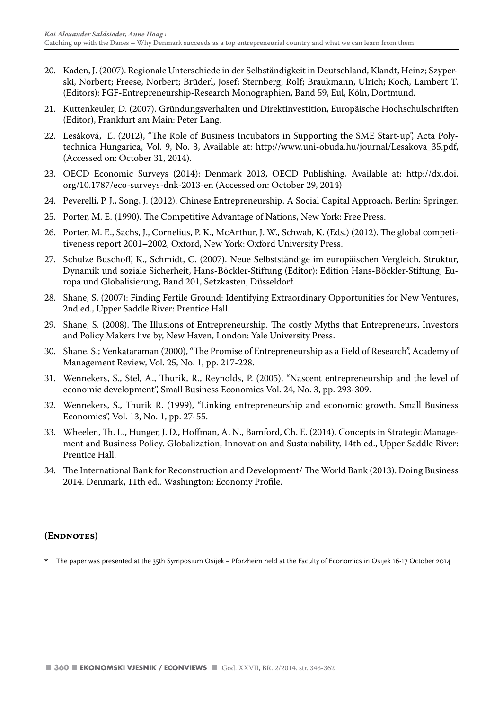- 20. Kaden, J. (2007). Regionale Unterschiede in der Selbständigkeit in Deutschland, Klandt, Heinz; Szyperski, Norbert; Freese, Norbert; Brüderl, Josef; Sternberg, Rolf; Braukmann, Ulrich; Koch, Lambert T. (Editors): FGF-Entrepreneurship-Research Monographien, Band 59, Eul, Köln, Dortmund.
- 21. Kuttenkeuler, D. (2007). Gründungsverhalten und Direktinvestition, Europäische Hochschulschriften (Editor), Frankfurt am Main: Peter Lang.
- 22. Lesáková, Ľ. (2012), "The Role of Business Incubators in Supporting the SME Start-up", Acta Polytechnica Hungarica, Vol. 9, No. 3, Available at: http://www.uni-obuda.hu/journal/Lesakova\_35.pdf, (Accessed on: October 31, 2014).
- 23. OECD Economic Surveys (2014): Denmark 2013, OECD Publishing, Available at: http://dx.doi. org/10.1787/eco-surveys-dnk-2013-en (Accessed on: October 29, 2014)
- 24. Peverelli, P. J., Song, J. (2012). Chinese Entrepreneurship. A Social Capital Approach, Berlin: Springer.
- 25. Porter, M. E. (1990). The Competitive Advantage of Nations, New York: Free Press.
- 26. Porter, M. E., Sachs, J., Cornelius, P. K., McArthur, J. W., Schwab, K. (Eds.) (2012). The global competitiveness report 2001–2002, Oxford, New York: Oxford University Press.
- 27. Schulze Buschoff, K., Schmidt, C. (2007). Neue Selbstständige im europäischen Vergleich. Struktur, Dynamik und soziale Sicherheit, Hans-Böckler-Stiftung (Editor): Edition Hans-Böckler-Stiftung, Europa und Globalisierung, Band 201, Setzkasten, Düsseldorf.
- 28. Shane, S. (2007): Finding Fertile Ground: Identifying Extraordinary Opportunities for New Ventures, 2nd ed., Upper Saddle River: Prentice Hall.
- 29. Shane, S. (2008). The Illusions of Entrepreneurship. The costly Myths that Entrepreneurs, Investors and Policy Makers live by, New Haven, London: Yale University Press.
- 30. Shane, S.; Venkataraman (2000), "The Promise of Entrepreneurship as a Field of Research", Academy of Management Review, Vol. 25, No. 1, pp. 217-228.
- 31. Wennekers, S., Stel, A., Thurik, R., Reynolds, P. (2005), "Nascent entrepreneurship and the level of economic development", Small Business Economics Vol. 24, No. 3, pp. 293-309.
- 32. Wennekers, S., Thurik R. (1999), "Linking entrepreneurship and economic growth. Small Business Economics", Vol. 13, No. 1, pp. 27-55.
- 33. Wheelen, Th. L., Hunger, J. D., Hoffman, A. N., Bamford, Ch. E. (2014). Concepts in Strategic Management and Business Policy. Globalization, Innovation and Sustainability, 14th ed., Upper Saddle River: Prentice Hall.
- 34. The International Bank for Reconstruction and Development/ The World Bank (2013). Doing Business 2014. Denmark, 11th ed.. Washington: Economy Profile.

#### **(Endnotes)**

The paper was presented at the 35th Symposium Osijek – Pforzheim held at the Faculty of Economics in Osijek 16-17 October 2014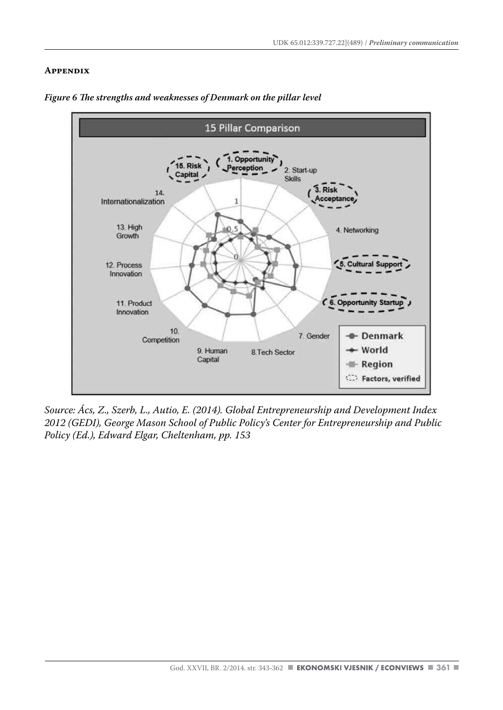#### **Appendix**



*Figure 6 The strengths and weaknesses of Denmark on the pillar level*

*Source: Ács, Z., Szerb, L., Autio, E. (2014). Global Entrepreneurship and Development Index 2012 (GEDI), George Mason School of Public Policy's Center for Entrepreneurship and Public Policy (Ed.), Edward Elgar, Cheltenham, pp. 153*